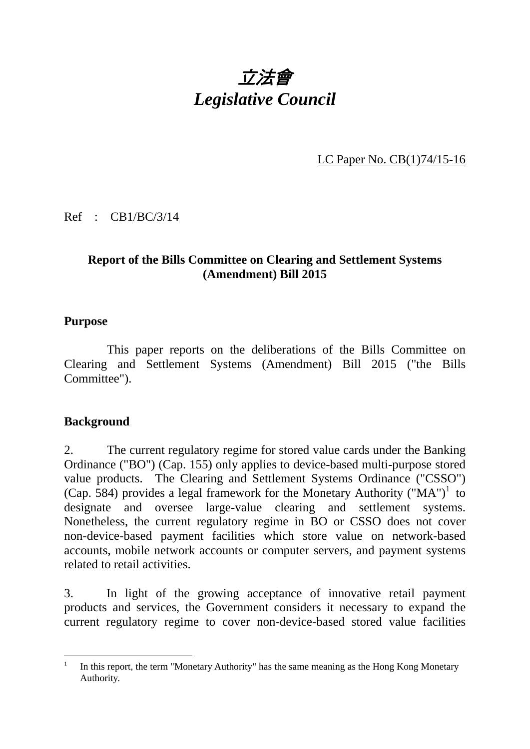

LC Paper No. CB(1)74/15-16

Ref : CB1/BC/3/14

## **Report of the Bills Committee on Clearing and Settlement Systems (Amendment) Bill 2015**

#### **Purpose**

 This paper reports on the deliberations of the Bills Committee on Clearing and Settlement Systems (Amendment) Bill 2015 ("the Bills Committee").

#### **Background**

1

2. The current regulatory regime for stored value cards under the Banking Ordinance ("BO") (Cap. 155) only applies to device-based multi-purpose stored value products. The Clearing and Settlement Systems Ordinance ("CSSO") (Cap. 584) provides a legal framework for the Monetary Authority ("MA")<sup>1</sup> to designate and oversee large-value clearing and settlement systems. Nonetheless, the current regulatory regime in BO or CSSO does not cover non-device-based payment facilities which store value on network-based accounts, mobile network accounts or computer servers, and payment systems related to retail activities.

3. In light of the growing acceptance of innovative retail payment products and services, the Government considers it necessary to expand the current regulatory regime to cover non-device-based stored value facilities

<sup>1</sup> In this report, the term "Monetary Authority" has the same meaning as the Hong Kong Monetary Authority.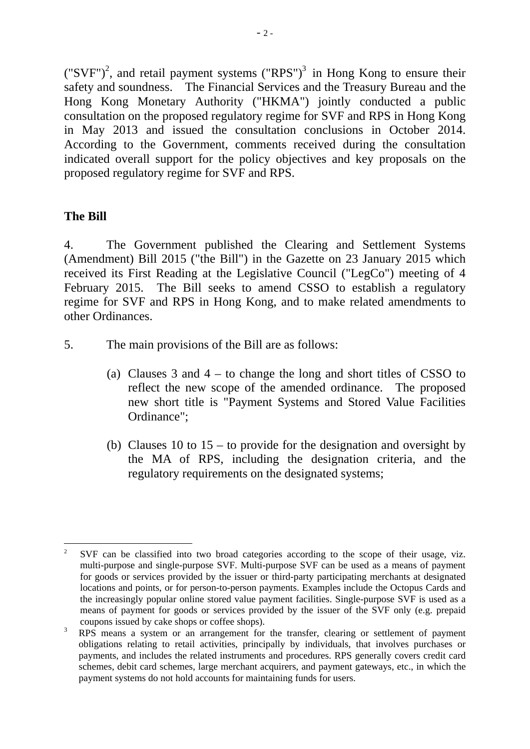$({\rm "SVF")}^2$ , and retail payment systems  $({\rm "RPS")}^3$  in Hong Kong to ensure their safety and soundness. The Financial Services and the Treasury Bureau and the Hong Kong Monetary Authority ("HKMA") jointly conducted a public consultation on the proposed regulatory regime for SVF and RPS in Hong Kong in May 2013 and issued the consultation conclusions in October 2014. According to the Government, comments received during the consultation indicated overall support for the policy objectives and key proposals on the proposed regulatory regime for SVF and RPS.

#### **The Bill**

1

4. The Government published the Clearing and Settlement Systems (Amendment) Bill 2015 ("the Bill") in the Gazette on 23 January 2015 which received its First Reading at the Legislative Council ("LegCo") meeting of 4 February 2015. The Bill seeks to amend CSSO to establish a regulatory regime for SVF and RPS in Hong Kong, and to make related amendments to other Ordinances.

- 5. The main provisions of the Bill are as follows:
	- (a) Clauses 3 and 4 to change the long and short titles of CSSO to reflect the new scope of the amended ordinance. The proposed new short title is "Payment Systems and Stored Value Facilities Ordinance";
	- (b) Clauses 10 to  $15 -$  to provide for the designation and oversight by the MA of RPS, including the designation criteria, and the regulatory requirements on the designated systems;

<sup>2</sup> SVF can be classified into two broad categories according to the scope of their usage, viz. multi-purpose and single-purpose SVF. Multi-purpose SVF can be used as a means of payment for goods or services provided by the issuer or third-party participating merchants at designated locations and points, or for person-to-person payments. Examples include the Octopus Cards and the increasingly popular online stored value payment facilities. Single-purpose SVF is used as a means of payment for goods or services provided by the issuer of the SVF only (e.g. prepaid coupons issued by cake shops or coffee shops).

<sup>3</sup> RPS means a system or an arrangement for the transfer, clearing or settlement of payment obligations relating to retail activities, principally by individuals, that involves purchases or payments, and includes the related instruments and procedures. RPS generally covers credit card schemes, debit card schemes, large merchant acquirers, and payment gateways, etc., in which the payment systems do not hold accounts for maintaining funds for users.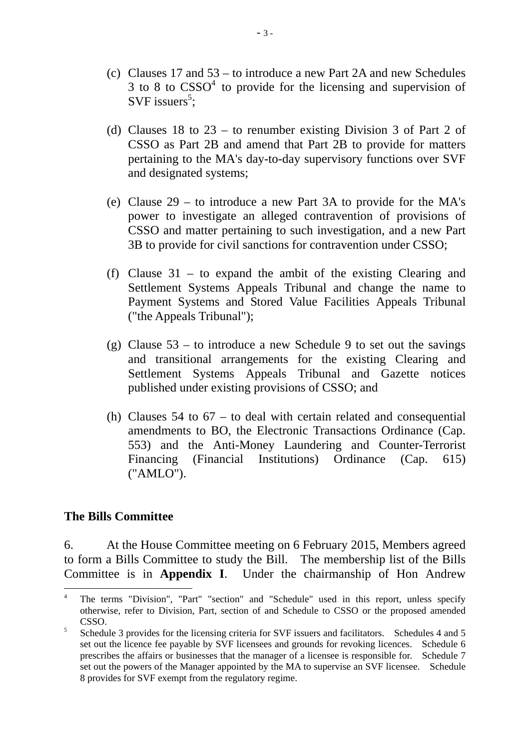- (c) Clauses 17 and 53 to introduce a new Part 2A and new Schedules  $3$  to  $8$  to  $CSSO<sup>4</sup>$  to provide for the licensing and supervision of SVF issuers<sup>5</sup>;
- (d) Clauses 18 to 23 to renumber existing Division 3 of Part 2 of CSSO as Part 2B and amend that Part 2B to provide for matters pertaining to the MA's day-to-day supervisory functions over SVF and designated systems;
- (e) Clause 29 to introduce a new Part 3A to provide for the MA's power to investigate an alleged contravention of provisions of CSSO and matter pertaining to such investigation, and a new Part 3B to provide for civil sanctions for contravention under CSSO;
- (f) Clause 31 to expand the ambit of the existing Clearing and Settlement Systems Appeals Tribunal and change the name to Payment Systems and Stored Value Facilities Appeals Tribunal ("the Appeals Tribunal");
- (g) Clause  $53 -$  to introduce a new Schedule 9 to set out the savings and transitional arrangements for the existing Clearing and Settlement Systems Appeals Tribunal and Gazette notices published under existing provisions of CSSO; and
- (h) Clauses 54 to  $67 -$  to deal with certain related and consequential amendments to BO, the Electronic Transactions Ordinance (Cap. 553) and the Anti-Money Laundering and Counter-Terrorist Financing (Financial Institutions) Ordinance (Cap. 615) ("AMLO").

#### **The Bills Committee**

1

6. At the House Committee meeting on 6 February 2015, Members agreed to form a Bills Committee to study the Bill. The membership list of the Bills Committee is in **Appendix I**. Under the chairmanship of Hon Andrew

<sup>4</sup> The terms "Division", "Part" "section" and "Schedule" used in this report, unless specify otherwise, refer to Division, Part, section of and Schedule to CSSO or the proposed amended  $\begin{array}{cc}\n\text{CSSO.} \\
\text{Sobel:} \\
\end{array}$ 

Schedule 3 provides for the licensing criteria for SVF issuers and facilitators. Schedules 4 and 5 set out the licence fee payable by SVF licensees and grounds for revoking licences. Schedule 6 prescribes the affairs or businesses that the manager of a licensee is responsible for. Schedule 7 set out the powers of the Manager appointed by the MA to supervise an SVF licensee. Schedule 8 provides for SVF exempt from the regulatory regime.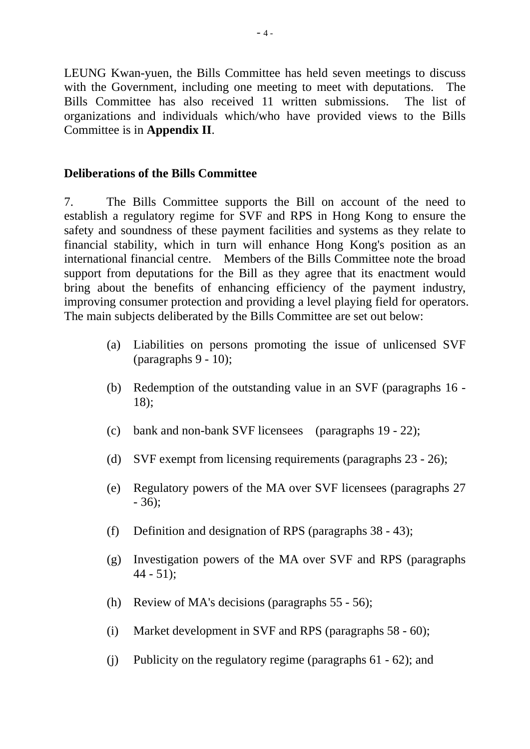LEUNG Kwan-yuen, the Bills Committee has held seven meetings to discuss with the Government, including one meeting to meet with deputations. The Bills Committee has also received 11 written submissions. The list of organizations and individuals which/who have provided views to the Bills Committee is in **Appendix II**.

#### **Deliberations of the Bills Committee**

7. The Bills Committee supports the Bill on account of the need to establish a regulatory regime for SVF and RPS in Hong Kong to ensure the safety and soundness of these payment facilities and systems as they relate to financial stability, which in turn will enhance Hong Kong's position as an international financial centre. Members of the Bills Committee note the broad support from deputations for the Bill as they agree that its enactment would bring about the benefits of enhancing efficiency of the payment industry, improving consumer protection and providing a level playing field for operators. The main subjects deliberated by the Bills Committee are set out below:

- (a) Liabilities on persons promoting the issue of unlicensed SVF (paragraphs 9 - 10);
- (b) Redemption of the outstanding value in an SVF (paragraphs 16 18);
- (c) bank and non-bank SVF licensees (paragraphs 19 22);
- (d) SVF exempt from licensing requirements (paragraphs 23 26);
- (e) Regulatory powers of the MA over SVF licensees (paragraphs 27 - 36);
- (f) Definition and designation of RPS (paragraphs 38 43);
- (g) Investigation powers of the MA over SVF and RPS (paragraphs  $44 - 51$ :
- (h) Review of MA's decisions (paragraphs 55 56);
- (i) Market development in SVF and RPS (paragraphs 58 60);
- (j) Publicity on the regulatory regime (paragraphs 61 62); and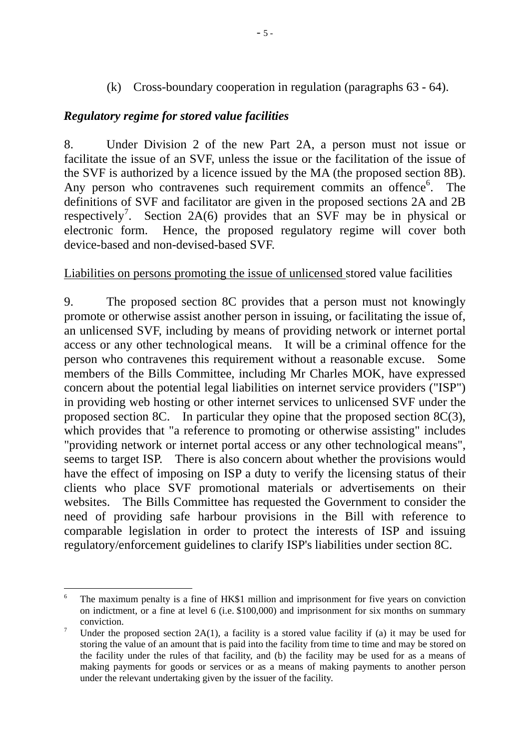(k) Cross-boundary cooperation in regulation (paragraphs 63 - 64).

#### *Regulatory regime for stored value facilities*

8. Under Division 2 of the new Part 2A, a person must not issue or facilitate the issue of an SVF, unless the issue or the facilitation of the issue of the SVF is authorized by a licence issued by the MA (the proposed section 8B). Any person who contravenes such requirement commits an offence<sup>6</sup>. The definitions of SVF and facilitator are given in the proposed sections 2A and 2B respectively<sup>7</sup>. Section 2A(6) provides that an SVF may be in physical or electronic form. Hence, the proposed regulatory regime will cover both device-based and non-devised-based SVF.

#### Liabilities on persons promoting the issue of unlicensed stored value facilities

9. The proposed section 8C provides that a person must not knowingly promote or otherwise assist another person in issuing, or facilitating the issue of, an unlicensed SVF, including by means of providing network or internet portal access or any other technological means. It will be a criminal offence for the person who contravenes this requirement without a reasonable excuse. Some members of the Bills Committee, including Mr Charles MOK, have expressed concern about the potential legal liabilities on internet service providers ("ISP") in providing web hosting or other internet services to unlicensed SVF under the proposed section 8C. In particular they opine that the proposed section 8C(3), which provides that "a reference to promoting or otherwise assisting" includes "providing network or internet portal access or any other technological means", seems to target ISP. There is also concern about whether the provisions would have the effect of imposing on ISP a duty to verify the licensing status of their clients who place SVF promotional materials or advertisements on their websites. The Bills Committee has requested the Government to consider the need of providing safe harbour provisions in the Bill with reference to comparable legislation in order to protect the interests of ISP and issuing regulatory/enforcement guidelines to clarify ISP's liabilities under section 8C.

1

<sup>6</sup> The maximum penalty is a fine of HK\$1 million and imprisonment for five years on conviction on indictment, or a fine at level 6 (i.e. \$100,000) and imprisonment for six months on summary conviction.

Under the proposed section  $2A(1)$ , a facility is a stored value facility if (a) it may be used for storing the value of an amount that is paid into the facility from time to time and may be stored on the facility under the rules of that facility, and (b) the facility may be used for as a means of making payments for goods or services or as a means of making payments to another person under the relevant undertaking given by the issuer of the facility.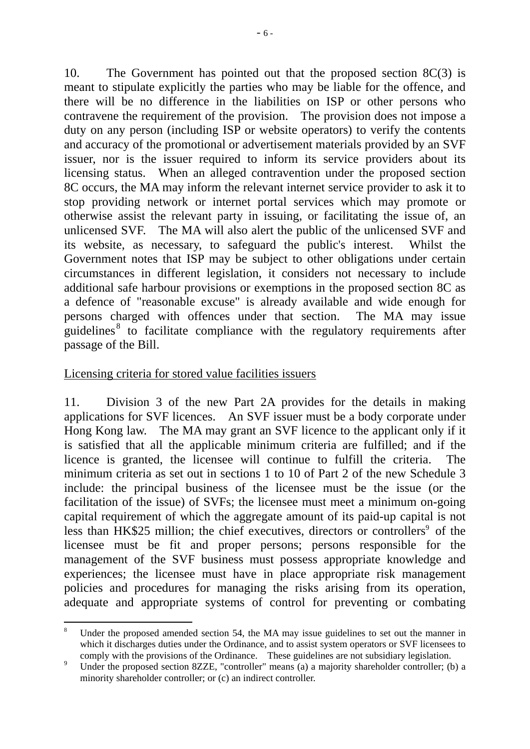10. The Government has pointed out that the proposed section 8C(3) is meant to stipulate explicitly the parties who may be liable for the offence, and there will be no difference in the liabilities on ISP or other persons who contravene the requirement of the provision. The provision does not impose a duty on any person (including ISP or website operators) to verify the contents and accuracy of the promotional or advertisement materials provided by an SVF issuer, nor is the issuer required to inform its service providers about its licensing status. When an alleged contravention under the proposed section 8C occurs, the MA may inform the relevant internet service provider to ask it to stop providing network or internet portal services which may promote or otherwise assist the relevant party in issuing, or facilitating the issue of, an unlicensed SVF. The MA will also alert the public of the unlicensed SVF and its website, as necessary, to safeguard the public's interest. Whilst the Government notes that ISP may be subject to other obligations under certain circumstances in different legislation, it considers not necessary to include additional safe harbour provisions or exemptions in the proposed section 8C as a defence of "reasonable excuse" is already available and wide enough for persons charged with offences under that section. The MA may issue guidelines<sup>8</sup> to facilitate compliance with the regulatory requirements after passage of the Bill.

#### Licensing criteria for stored value facilities issuers

1

11. Division 3 of the new Part 2A provides for the details in making applications for SVF licences. An SVF issuer must be a body corporate under Hong Kong law. The MA may grant an SVF licence to the applicant only if it is satisfied that all the applicable minimum criteria are fulfilled; and if the licence is granted, the licensee will continue to fulfill the criteria. The minimum criteria as set out in sections 1 to 10 of Part 2 of the new Schedule 3 include: the principal business of the licensee must be the issue (or the facilitation of the issue) of SVFs; the licensee must meet a minimum on-going capital requirement of which the aggregate amount of its paid-up capital is not less than HK\$25 million; the chief executives, directors or controllers<sup>9</sup> of the licensee must be fit and proper persons; persons responsible for the management of the SVF business must possess appropriate knowledge and experiences; the licensee must have in place appropriate risk management policies and procedures for managing the risks arising from its operation, adequate and appropriate systems of control for preventing or combating

<sup>8</sup> Under the proposed amended section 54, the MA may issue guidelines to set out the manner in which it discharges duties under the Ordinance, and to assist system operators or SVF licensees to comply with the provisions of the Ordinance. These guidelines are not subsidiary legislation.

<sup>9</sup> Under the proposed section 8ZZE, "controller" means (a) a majority shareholder controller; (b) a minority shareholder controller; or (c) an indirect controller.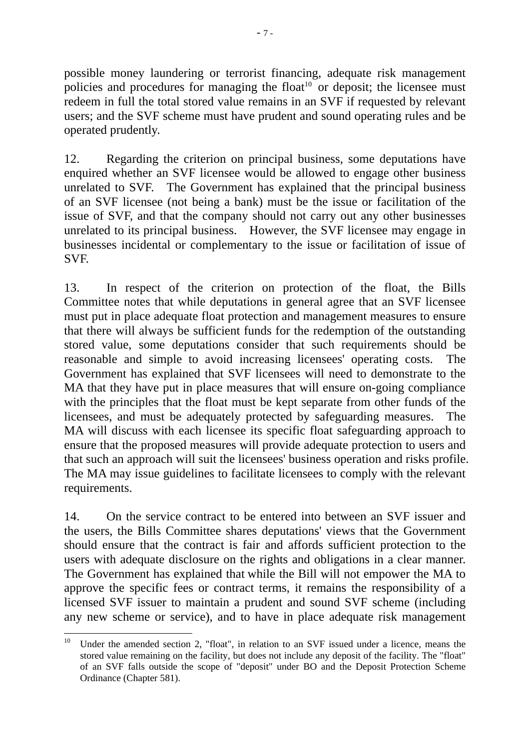possible money laundering or terrorist financing, adequate risk management policies and procedures for managing the float<sup>10</sup> or deposit; the licensee must redeem in full the total stored value remains in an SVF if requested by relevant users; and the SVF scheme must have prudent and sound operating rules and be operated prudently.

12. Regarding the criterion on principal business, some deputations have enquired whether an SVF licensee would be allowed to engage other business unrelated to SVF. The Government has explained that the principal business of an SVF licensee (not being a bank) must be the issue or facilitation of the issue of SVF, and that the company should not carry out any other businesses unrelated to its principal business. However, the SVF licensee may engage in businesses incidental or complementary to the issue or facilitation of issue of SVF.

13. In respect of the criterion on protection of the float, the Bills Committee notes that while deputations in general agree that an SVF licensee must put in place adequate float protection and management measures to ensure that there will always be sufficient funds for the redemption of the outstanding stored value, some deputations consider that such requirements should be reasonable and simple to avoid increasing licensees' operating costs. The Government has explained that SVF licensees will need to demonstrate to the MA that they have put in place measures that will ensure on-going compliance with the principles that the float must be kept separate from other funds of the licensees, and must be adequately protected by safeguarding measures. The MA will discuss with each licensee its specific float safeguarding approach to ensure that the proposed measures will provide adequate protection to users and that such an approach will suit the licensees' business operation and risks profile. The MA may issue guidelines to facilitate licensees to comply with the relevant requirements.

14. On the service contract to be entered into between an SVF issuer and the users, the Bills Committee shares deputations' views that the Government should ensure that the contract is fair and affords sufficient protection to the users with adequate disclosure on the rights and obligations in a clear manner. The Government has explained that while the Bill will not empower the MA to approve the specific fees or contract terms, it remains the responsibility of a licensed SVF issuer to maintain a prudent and sound SVF scheme (including any new scheme or service), and to have in place adequate risk management

<sup>10</sup> Under the amended section 2, "float", in relation to an SVF issued under a licence, means the stored value remaining on the facility, but does not include any deposit of the facility. The "float" of an SVF falls outside the scope of "deposit" under BO and the Deposit Protection Scheme Ordinance (Chapter 581).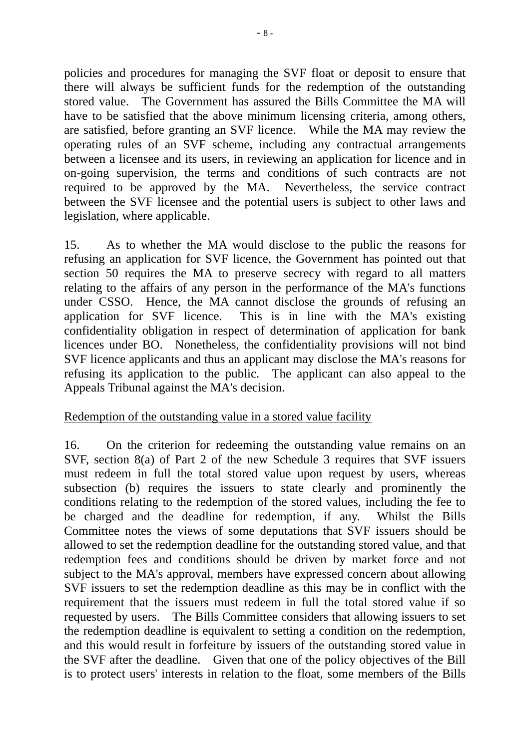policies and procedures for managing the SVF float or deposit to ensure that there will always be sufficient funds for the redemption of the outstanding stored value. The Government has assured the Bills Committee the MA will have to be satisfied that the above minimum licensing criteria, among others, are satisfied, before granting an SVF licence. While the MA may review the operating rules of an SVF scheme, including any contractual arrangements between a licensee and its users, in reviewing an application for licence and in on-going supervision, the terms and conditions of such contracts are not required to be approved by the MA. Nevertheless, the service contract between the SVF licensee and the potential users is subject to other laws and legislation, where applicable.

15. As to whether the MA would disclose to the public the reasons for refusing an application for SVF licence, the Government has pointed out that section 50 requires the MA to preserve secrecy with regard to all matters relating to the affairs of any person in the performance of the MA's functions under CSSO. Hence, the MA cannot disclose the grounds of refusing an application for SVF licence. This is in line with the MA's existing confidentiality obligation in respect of determination of application for bank licences under BO. Nonetheless, the confidentiality provisions will not bind SVF licence applicants and thus an applicant may disclose the MA's reasons for refusing its application to the public. The applicant can also appeal to the Appeals Tribunal against the MA's decision.

#### Redemption of the outstanding value in a stored value facility

16. On the criterion for redeeming the outstanding value remains on an SVF, section 8(a) of Part 2 of the new Schedule 3 requires that SVF issuers must redeem in full the total stored value upon request by users, whereas subsection (b) requires the issuers to state clearly and prominently the conditions relating to the redemption of the stored values, including the fee to be charged and the deadline for redemption, if any. Whilst the Bills Committee notes the views of some deputations that SVF issuers should be allowed to set the redemption deadline for the outstanding stored value, and that redemption fees and conditions should be driven by market force and not subject to the MA's approval, members have expressed concern about allowing SVF issuers to set the redemption deadline as this may be in conflict with the requirement that the issuers must redeem in full the total stored value if so requested by users. The Bills Committee considers that allowing issuers to set the redemption deadline is equivalent to setting a condition on the redemption, and this would result in forfeiture by issuers of the outstanding stored value in the SVF after the deadline. Given that one of the policy objectives of the Bill is to protect users' interests in relation to the float, some members of the Bills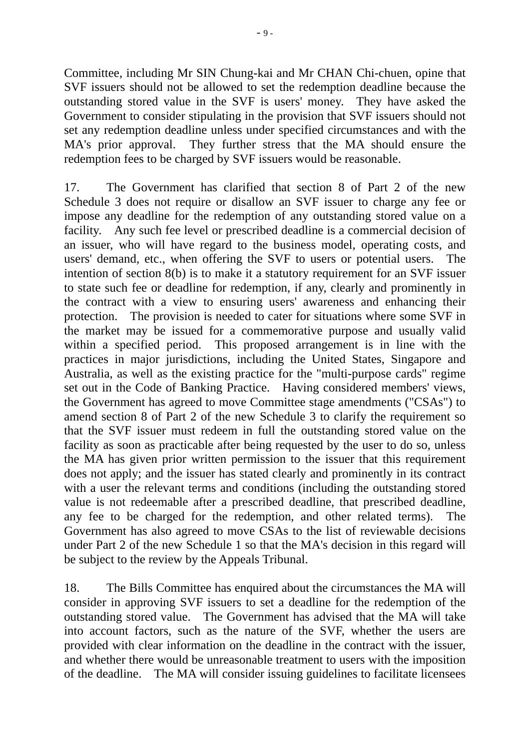Committee, including Mr SIN Chung-kai and Mr CHAN Chi-chuen, opine that SVF issuers should not be allowed to set the redemption deadline because the outstanding stored value in the SVF is users' money. They have asked the Government to consider stipulating in the provision that SVF issuers should not set any redemption deadline unless under specified circumstances and with the MA's prior approval. They further stress that the MA should ensure the redemption fees to be charged by SVF issuers would be reasonable.

17. The Government has clarified that section 8 of Part 2 of the new Schedule 3 does not require or disallow an SVF issuer to charge any fee or impose any deadline for the redemption of any outstanding stored value on a facility. Any such fee level or prescribed deadline is a commercial decision of an issuer, who will have regard to the business model, operating costs, and users' demand, etc., when offering the SVF to users or potential users. The intention of section 8(b) is to make it a statutory requirement for an SVF issuer to state such fee or deadline for redemption, if any, clearly and prominently in the contract with a view to ensuring users' awareness and enhancing their protection. The provision is needed to cater for situations where some SVF in the market may be issued for a commemorative purpose and usually valid within a specified period. This proposed arrangement is in line with the practices in major jurisdictions, including the United States, Singapore and Australia, as well as the existing practice for the "multi-purpose cards" regime set out in the Code of Banking Practice. Having considered members' views, the Government has agreed to move Committee stage amendments ("CSAs") to amend section 8 of Part 2 of the new Schedule 3 to clarify the requirement so that the SVF issuer must redeem in full the outstanding stored value on the facility as soon as practicable after being requested by the user to do so, unless the MA has given prior written permission to the issuer that this requirement does not apply; and the issuer has stated clearly and prominently in its contract with a user the relevant terms and conditions (including the outstanding stored value is not redeemable after a prescribed deadline, that prescribed deadline, any fee to be charged for the redemption, and other related terms). The Government has also agreed to move CSAs to the list of reviewable decisions under Part 2 of the new Schedule 1 so that the MA's decision in this regard will be subject to the review by the Appeals Tribunal.

18. The Bills Committee has enquired about the circumstances the MA will consider in approving SVF issuers to set a deadline for the redemption of the outstanding stored value. The Government has advised that the MA will take into account factors, such as the nature of the SVF, whether the users are provided with clear information on the deadline in the contract with the issuer, and whether there would be unreasonable treatment to users with the imposition of the deadline. The MA will consider issuing guidelines to facilitate licensees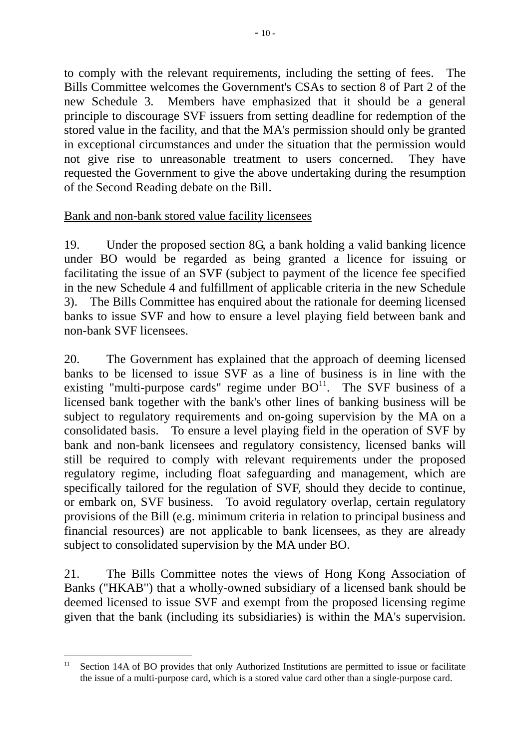to comply with the relevant requirements, including the setting of fees. The Bills Committee welcomes the Government's CSAs to section 8 of Part 2 of the new Schedule 3. Members have emphasized that it should be a general principle to discourage SVF issuers from setting deadline for redemption of the stored value in the facility, and that the MA's permission should only be granted in exceptional circumstances and under the situation that the permission would not give rise to unreasonable treatment to users concerned. They have requested the Government to give the above undertaking during the resumption of the Second Reading debate on the Bill.

# Bank and non-bank stored value facility licensees

19. Under the proposed section 8G, a bank holding a valid banking licence under BO would be regarded as being granted a licence for issuing or facilitating the issue of an SVF (subject to payment of the licence fee specified in the new Schedule 4 and fulfillment of applicable criteria in the new Schedule 3). The Bills Committee has enquired about the rationale for deeming licensed banks to issue SVF and how to ensure a level playing field between bank and non-bank SVF licensees.

20. The Government has explained that the approach of deeming licensed banks to be licensed to issue SVF as a line of business is in line with the existing "multi-purpose cards" regime under  $BO<sup>11</sup>$ . The SVF business of a licensed bank together with the bank's other lines of banking business will be subject to regulatory requirements and on-going supervision by the MA on a consolidated basis. To ensure a level playing field in the operation of SVF by bank and non-bank licensees and regulatory consistency, licensed banks will still be required to comply with relevant requirements under the proposed regulatory regime, including float safeguarding and management, which are specifically tailored for the regulation of SVF, should they decide to continue, or embark on, SVF business. To avoid regulatory overlap, certain regulatory provisions of the Bill (e.g. minimum criteria in relation to principal business and financial resources) are not applicable to bank licensees, as they are already subject to consolidated supervision by the MA under BO.

21. The Bills Committee notes the views of Hong Kong Association of Banks ("HKAB") that a wholly-owned subsidiary of a licensed bank should be deemed licensed to issue SVF and exempt from the proposed licensing regime given that the bank (including its subsidiaries) is within the MA's supervision.

<sup>1</sup> <sup>11</sup> Section 14A of BO provides that only Authorized Institutions are permitted to issue or facilitate the issue of a multi-purpose card, which is a stored value card other than a single-purpose card.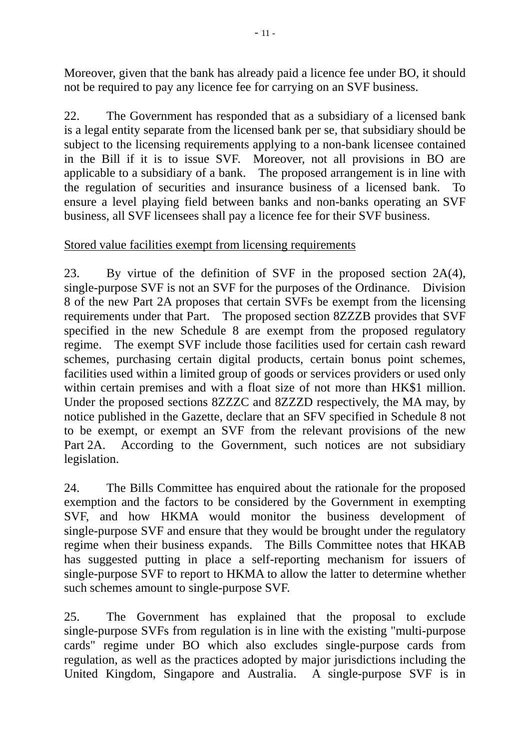Moreover, given that the bank has already paid a licence fee under BO, it should not be required to pay any licence fee for carrying on an SVF business.

22. The Government has responded that as a subsidiary of a licensed bank is a legal entity separate from the licensed bank per se, that subsidiary should be subject to the licensing requirements applying to a non-bank licensee contained in the Bill if it is to issue SVF. Moreover, not all provisions in BO are applicable to a subsidiary of a bank. The proposed arrangement is in line with the regulation of securities and insurance business of a licensed bank. To ensure a level playing field between banks and non-banks operating an SVF business, all SVF licensees shall pay a licence fee for their SVF business.

## Stored value facilities exempt from licensing requirements

23. By virtue of the definition of SVF in the proposed section 2A(4), single-purpose SVF is not an SVF for the purposes of the Ordinance. Division 8 of the new Part 2A proposes that certain SVFs be exempt from the licensing requirements under that Part. The proposed section 8ZZZB provides that SVF specified in the new Schedule 8 are exempt from the proposed regulatory regime. The exempt SVF include those facilities used for certain cash reward schemes, purchasing certain digital products, certain bonus point schemes, facilities used within a limited group of goods or services providers or used only within certain premises and with a float size of not more than HK\$1 million. Under the proposed sections 8ZZZC and 8ZZZD respectively, the MA may, by notice published in the Gazette, declare that an SFV specified in Schedule 8 not to be exempt, or exempt an SVF from the relevant provisions of the new Part 2A. According to the Government, such notices are not subsidiary legislation.

24. The Bills Committee has enquired about the rationale for the proposed exemption and the factors to be considered by the Government in exempting SVF, and how HKMA would monitor the business development of single-purpose SVF and ensure that they would be brought under the regulatory regime when their business expands. The Bills Committee notes that HKAB has suggested putting in place a self-reporting mechanism for issuers of single-purpose SVF to report to HKMA to allow the latter to determine whether such schemes amount to single-purpose SVF.

25. The Government has explained that the proposal to exclude single-purpose SVFs from regulation is in line with the existing "multi-purpose cards" regime under BO which also excludes single-purpose cards from regulation, as well as the practices adopted by major jurisdictions including the United Kingdom, Singapore and Australia. A single-purpose SVF is in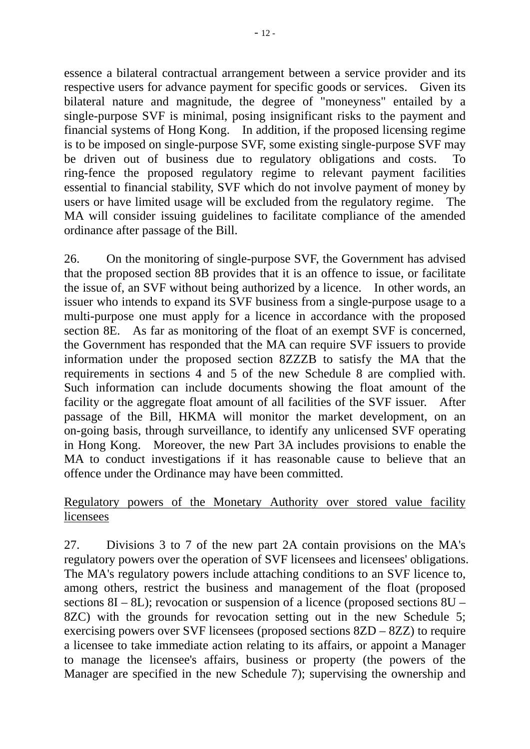essence a bilateral contractual arrangement between a service provider and its respective users for advance payment for specific goods or services. Given its bilateral nature and magnitude, the degree of "moneyness" entailed by a single-purpose SVF is minimal, posing insignificant risks to the payment and financial systems of Hong Kong. In addition, if the proposed licensing regime is to be imposed on single-purpose SVF, some existing single-purpose SVF may be driven out of business due to regulatory obligations and costs. To ring-fence the proposed regulatory regime to relevant payment facilities essential to financial stability, SVF which do not involve payment of money by users or have limited usage will be excluded from the regulatory regime. The MA will consider issuing guidelines to facilitate compliance of the amended ordinance after passage of the Bill.

26. On the monitoring of single-purpose SVF, the Government has advised that the proposed section 8B provides that it is an offence to issue, or facilitate the issue of, an SVF without being authorized by a licence. In other words, an issuer who intends to expand its SVF business from a single-purpose usage to a multi-purpose one must apply for a licence in accordance with the proposed section 8E. As far as monitoring of the float of an exempt SVF is concerned, the Government has responded that the MA can require SVF issuers to provide information under the proposed section 8ZZZB to satisfy the MA that the requirements in sections 4 and 5 of the new Schedule 8 are complied with. Such information can include documents showing the float amount of the facility or the aggregate float amount of all facilities of the SVF issuer. After passage of the Bill, HKMA will monitor the market development, on an on-going basis, through surveillance, to identify any unlicensed SVF operating in Hong Kong. Moreover, the new Part 3A includes provisions to enable the MA to conduct investigations if it has reasonable cause to believe that an offence under the Ordinance may have been committed.

# Regulatory powers of the Monetary Authority over stored value facility licensees

27. Divisions 3 to 7 of the new part 2A contain provisions on the MA's regulatory powers over the operation of SVF licensees and licensees' obligations. The MA's regulatory powers include attaching conditions to an SVF licence to, among others, restrict the business and management of the float (proposed sections  $8I - 8L$ ); revocation or suspension of a licence (proposed sections  $8U -$ 8ZC) with the grounds for revocation setting out in the new Schedule 5; exercising powers over SVF licensees (proposed sections 8ZD – 8ZZ) to require a licensee to take immediate action relating to its affairs, or appoint a Manager to manage the licensee's affairs, business or property (the powers of the Manager are specified in the new Schedule 7); supervising the ownership and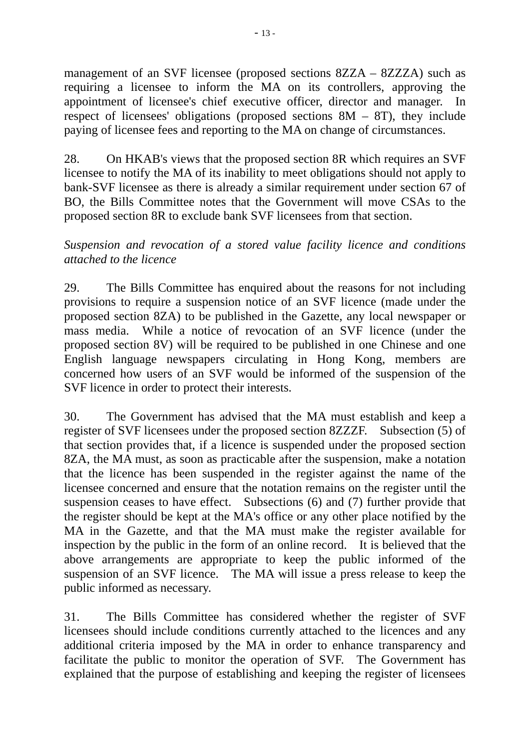management of an SVF licensee (proposed sections 8ZZA – 8ZZZA) such as requiring a licensee to inform the MA on its controllers, approving the appointment of licensee's chief executive officer, director and manager. In respect of licensees' obligations (proposed sections  $8M - 8T$ ), they include paying of licensee fees and reporting to the MA on change of circumstances.

28. On HKAB's views that the proposed section 8R which requires an SVF licensee to notify the MA of its inability to meet obligations should not apply to bank-SVF licensee as there is already a similar requirement under section 67 of BO, the Bills Committee notes that the Government will move CSAs to the proposed section 8R to exclude bank SVF licensees from that section.

## *Suspension and revocation of a stored value facility licence and conditions attached to the licence*

29. The Bills Committee has enquired about the reasons for not including provisions to require a suspension notice of an SVF licence (made under the proposed section 8ZA) to be published in the Gazette, any local newspaper or mass media. While a notice of revocation of an SVF licence (under the proposed section 8V) will be required to be published in one Chinese and one English language newspapers circulating in Hong Kong, members are concerned how users of an SVF would be informed of the suspension of the SVF licence in order to protect their interests.

30. The Government has advised that the MA must establish and keep a register of SVF licensees under the proposed section 8ZZZF. Subsection (5) of that section provides that, if a licence is suspended under the proposed section 8ZA, the MA must, as soon as practicable after the suspension, make a notation that the licence has been suspended in the register against the name of the licensee concerned and ensure that the notation remains on the register until the suspension ceases to have effect. Subsections (6) and (7) further provide that the register should be kept at the MA's office or any other place notified by the MA in the Gazette, and that the MA must make the register available for inspection by the public in the form of an online record. It is believed that the above arrangements are appropriate to keep the public informed of the suspension of an SVF licence. The MA will issue a press release to keep the public informed as necessary.

31. The Bills Committee has considered whether the register of SVF licensees should include conditions currently attached to the licences and any additional criteria imposed by the MA in order to enhance transparency and facilitate the public to monitor the operation of SVF. The Government has explained that the purpose of establishing and keeping the register of licensees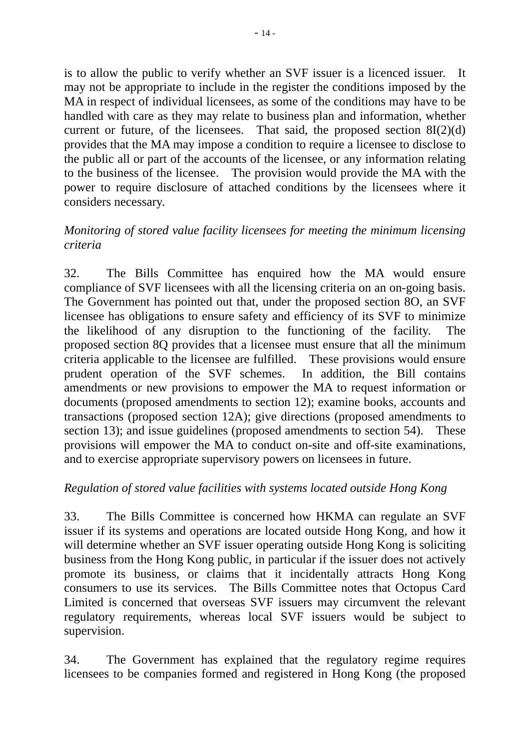is to allow the public to verify whether an SVF issuer is a licenced issuer. It may not be appropriate to include in the register the conditions imposed by the MA in respect of individual licensees, as some of the conditions may have to be handled with care as they may relate to business plan and information, whether current or future, of the licensees. That said, the proposed section  $8I(2)(d)$ provides that the MA may impose a condition to require a licensee to disclose to the public all or part of the accounts of the licensee, or any information relating to the business of the licensee. The provision would provide the MA with the power to require disclosure of attached conditions by the licensees where it considers necessary.

#### *Monitoring of stored value facility licensees for meeting the minimum licensing criteria*

32. The Bills Committee has enquired how the MA would ensure compliance of SVF licensees with all the licensing criteria on an on-going basis. The Government has pointed out that, under the proposed section 8O, an SVF licensee has obligations to ensure safety and efficiency of its SVF to minimize the likelihood of any disruption to the functioning of the facility. The proposed section 8Q provides that a licensee must ensure that all the minimum criteria applicable to the licensee are fulfilled. These provisions would ensure prudent operation of the SVF schemes. In addition, the Bill contains amendments or new provisions to empower the MA to request information or documents (proposed amendments to section 12); examine books, accounts and transactions (proposed section 12A); give directions (proposed amendments to section 13); and issue guidelines (proposed amendments to section 54). These provisions will empower the MA to conduct on-site and off-site examinations, and to exercise appropriate supervisory powers on licensees in future.

#### *Regulation of stored value facilities with systems located outside Hong Kong*

33. The Bills Committee is concerned how HKMA can regulate an SVF issuer if its systems and operations are located outside Hong Kong, and how it will determine whether an SVF issuer operating outside Hong Kong is soliciting business from the Hong Kong public, in particular if the issuer does not actively promote its business, or claims that it incidentally attracts Hong Kong consumers to use its services. The Bills Committee notes that Octopus Card Limited is concerned that overseas SVF issuers may circumvent the relevant regulatory requirements, whereas local SVF issuers would be subject to supervision.

34. The Government has explained that the regulatory regime requires licensees to be companies formed and registered in Hong Kong (the proposed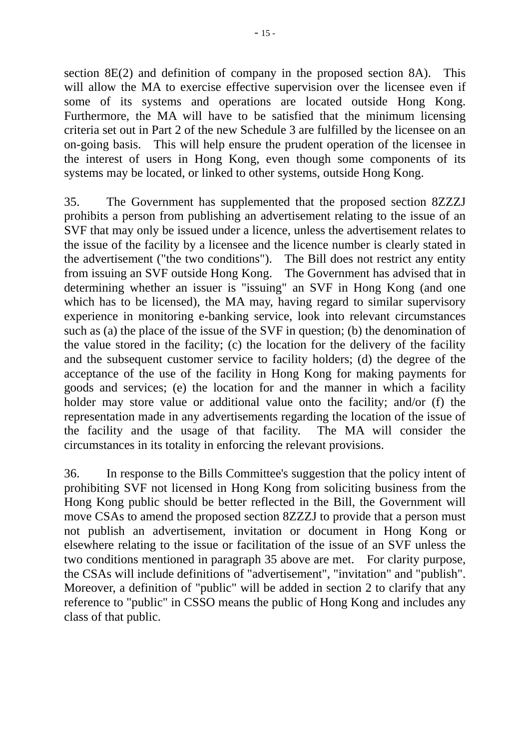section 8E(2) and definition of company in the proposed section 8A). This will allow the MA to exercise effective supervision over the licensee even if some of its systems and operations are located outside Hong Kong. Furthermore, the MA will have to be satisfied that the minimum licensing criteria set out in Part 2 of the new Schedule 3 are fulfilled by the licensee on an on-going basis. This will help ensure the prudent operation of the licensee in the interest of users in Hong Kong, even though some components of its systems may be located, or linked to other systems, outside Hong Kong.

35. The Government has supplemented that the proposed section 8ZZZJ prohibits a person from publishing an advertisement relating to the issue of an SVF that may only be issued under a licence, unless the advertisement relates to the issue of the facility by a licensee and the licence number is clearly stated in the advertisement ("the two conditions"). The Bill does not restrict any entity from issuing an SVF outside Hong Kong. The Government has advised that in determining whether an issuer is "issuing" an SVF in Hong Kong (and one which has to be licensed), the MA may, having regard to similar supervisory experience in monitoring e-banking service, look into relevant circumstances such as (a) the place of the issue of the SVF in question; (b) the denomination of the value stored in the facility; (c) the location for the delivery of the facility and the subsequent customer service to facility holders; (d) the degree of the acceptance of the use of the facility in Hong Kong for making payments for goods and services; (e) the location for and the manner in which a facility holder may store value or additional value onto the facility; and/or (f) the representation made in any advertisements regarding the location of the issue of the facility and the usage of that facility. The MA will consider the circumstances in its totality in enforcing the relevant provisions.

36. In response to the Bills Committee's suggestion that the policy intent of prohibiting SVF not licensed in Hong Kong from soliciting business from the Hong Kong public should be better reflected in the Bill, the Government will move CSAs to amend the proposed section 8ZZZJ to provide that a person must not publish an advertisement, invitation or document in Hong Kong or elsewhere relating to the issue or facilitation of the issue of an SVF unless the two conditions mentioned in paragraph 35 above are met. For clarity purpose, the CSAs will include definitions of "advertisement", "invitation" and "publish". Moreover, a definition of "public" will be added in section 2 to clarify that any reference to "public" in CSSO means the public of Hong Kong and includes any class of that public.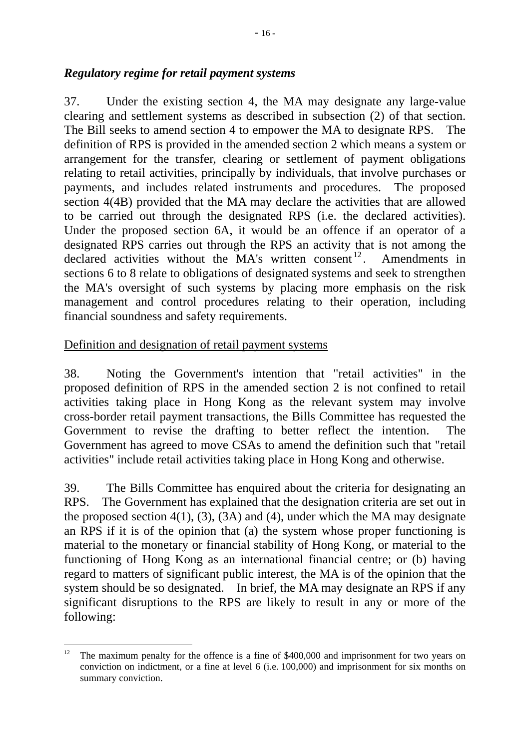37. Under the existing section 4, the MA may designate any large-value clearing and settlement systems as described in subsection (2) of that section. The Bill seeks to amend section 4 to empower the MA to designate RPS. The definition of RPS is provided in the amended section 2 which means a system or arrangement for the transfer, clearing or settlement of payment obligations relating to retail activities, principally by individuals, that involve purchases or payments, and includes related instruments and procedures. The proposed section 4(4B) provided that the MA may declare the activities that are allowed to be carried out through the designated RPS (i.e. the declared activities). Under the proposed section 6A, it would be an offence if an operator of a designated RPS carries out through the RPS an activity that is not among the declared activities without the MA's written consent<sup>12</sup>. Amendments in sections 6 to 8 relate to obligations of designated systems and seek to strengthen the MA's oversight of such systems by placing more emphasis on the risk management and control procedures relating to their operation, including financial soundness and safety requirements.

#### Definition and designation of retail payment systems

38. Noting the Government's intention that "retail activities" in the proposed definition of RPS in the amended section 2 is not confined to retail activities taking place in Hong Kong as the relevant system may involve cross-border retail payment transactions, the Bills Committee has requested the Government to revise the drafting to better reflect the intention. The Government has agreed to move CSAs to amend the definition such that "retail activities" include retail activities taking place in Hong Kong and otherwise.

39. The Bills Committee has enquired about the criteria for designating an RPS. The Government has explained that the designation criteria are set out in the proposed section  $4(1)$ ,  $(3)$ ,  $(3A)$  and  $(4)$ , under which the MA may designate an RPS if it is of the opinion that (a) the system whose proper functioning is material to the monetary or financial stability of Hong Kong, or material to the functioning of Hong Kong as an international financial centre; or (b) having regard to matters of significant public interest, the MA is of the opinion that the system should be so designated. In brief, the MA may designate an RPS if any significant disruptions to the RPS are likely to result in any or more of the following:

<sup>1</sup> <sup>12</sup> The maximum penalty for the offence is a fine of \$400,000 and imprisonment for two years on conviction on indictment, or a fine at level 6 (i.e. 100,000) and imprisonment for six months on summary conviction.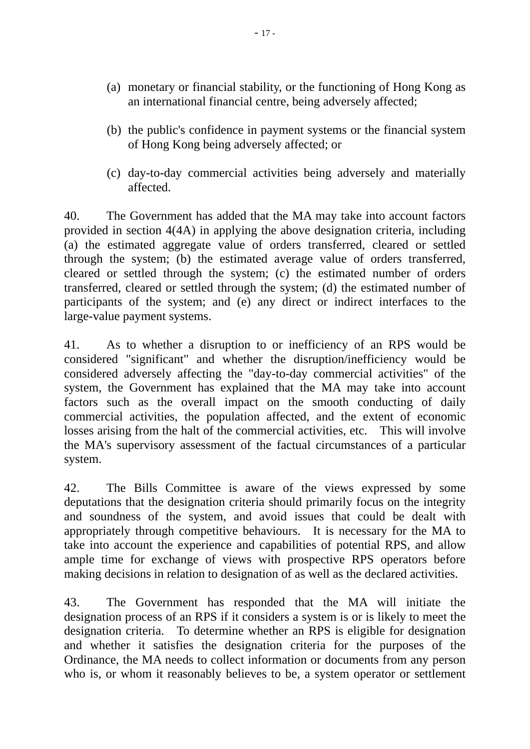- (a) monetary or financial stability, or the functioning of Hong Kong as an international financial centre, being adversely affected;
- (b) the public's confidence in payment systems or the financial system of Hong Kong being adversely affected; or
- (c) day-to-day commercial activities being adversely and materially affected.

40. The Government has added that the MA may take into account factors provided in section 4(4A) in applying the above designation criteria, including (a) the estimated aggregate value of orders transferred, cleared or settled through the system; (b) the estimated average value of orders transferred, cleared or settled through the system; (c) the estimated number of orders transferred, cleared or settled through the system; (d) the estimated number of participants of the system; and (e) any direct or indirect interfaces to the large-value payment systems.

41. As to whether a disruption to or inefficiency of an RPS would be considered "significant" and whether the disruption/inefficiency would be considered adversely affecting the "day-to-day commercial activities" of the system, the Government has explained that the MA may take into account factors such as the overall impact on the smooth conducting of daily commercial activities, the population affected, and the extent of economic losses arising from the halt of the commercial activities, etc. This will involve the MA's supervisory assessment of the factual circumstances of a particular system.

42. The Bills Committee is aware of the views expressed by some deputations that the designation criteria should primarily focus on the integrity and soundness of the system, and avoid issues that could be dealt with appropriately through competitive behaviours. It is necessary for the MA to take into account the experience and capabilities of potential RPS, and allow ample time for exchange of views with prospective RPS operators before making decisions in relation to designation of as well as the declared activities.

43. The Government has responded that the MA will initiate the designation process of an RPS if it considers a system is or is likely to meet the designation criteria. To determine whether an RPS is eligible for designation and whether it satisfies the designation criteria for the purposes of the Ordinance, the MA needs to collect information or documents from any person who is, or whom it reasonably believes to be, a system operator or settlement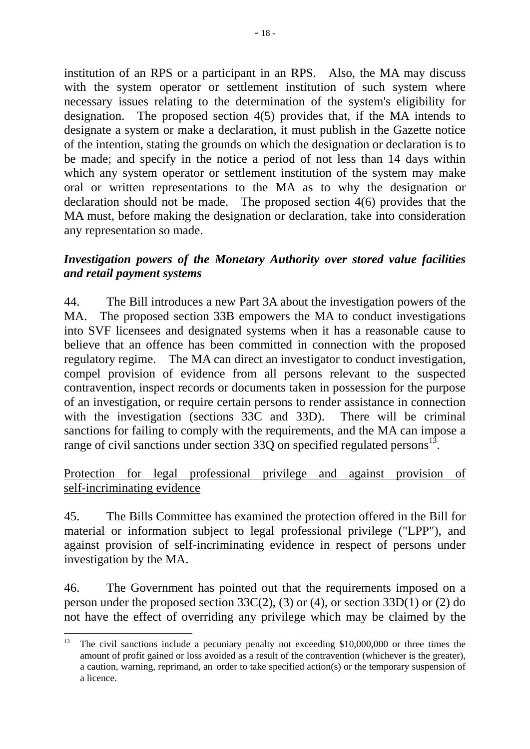institution of an RPS or a participant in an RPS. Also, the MA may discuss with the system operator or settlement institution of such system where necessary issues relating to the determination of the system's eligibility for designation. The proposed section 4(5) provides that, if the MA intends to designate a system or make a declaration, it must publish in the Gazette notice of the intention, stating the grounds on which the designation or declaration is to be made; and specify in the notice a period of not less than 14 days within which any system operator or settlement institution of the system may make oral or written representations to the MA as to why the designation or declaration should not be made. The proposed section 4(6) provides that the MA must, before making the designation or declaration, take into consideration any representation so made.

## *Investigation powers of the Monetary Authority over stored value facilities and retail payment systems*

44. The Bill introduces a new Part 3A about the investigation powers of the MA. The proposed section 33B empowers the MA to conduct investigations into SVF licensees and designated systems when it has a reasonable cause to believe that an offence has been committed in connection with the proposed regulatory regime. The MA can direct an investigator to conduct investigation, compel provision of evidence from all persons relevant to the suspected contravention, inspect records or documents taken in possession for the purpose of an investigation, or require certain persons to render assistance in connection with the investigation (sections 33C and 33D). There will be criminal sanctions for failing to comply with the requirements, and the MA can impose a range of civil sanctions under section  $33Q$  on specified regulated persons<sup>13</sup>.

## Protection for legal professional privilege and against provision of self-incriminating evidence

45. The Bills Committee has examined the protection offered in the Bill for material or information subject to legal professional privilege ("LPP"), and against provision of self-incriminating evidence in respect of persons under investigation by the MA.

46. The Government has pointed out that the requirements imposed on a person under the proposed section  $33C(2)$ , (3) or (4), or section  $33D(1)$  or (2) do not have the effect of overriding any privilege which may be claimed by the

<sup>13</sup> The civil sanctions include a pecuniary penalty not exceeding \$10,000,000 or three times the amount of profit gained or loss avoided as a result of the contravention (whichever is the greater), a caution, warning, reprimand, an order to take specified action(s) or the temporary suspension of a licence.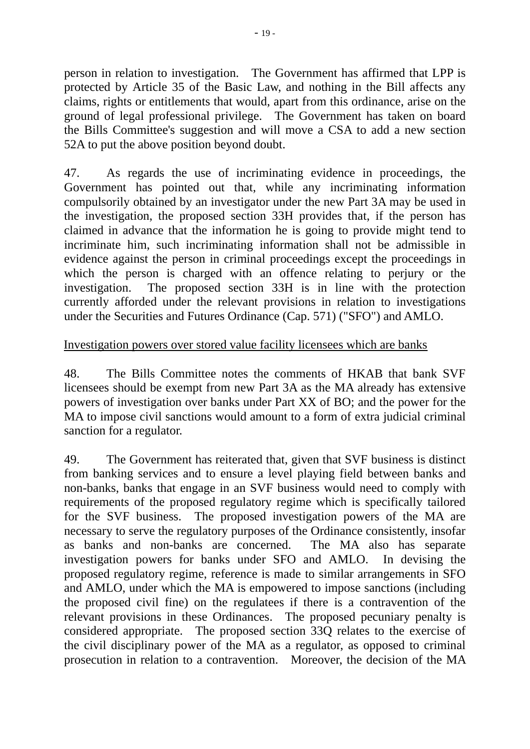person in relation to investigation. The Government has affirmed that LPP is protected by Article 35 of the Basic Law, and nothing in the Bill affects any claims, rights or entitlements that would, apart from this ordinance, arise on the ground of legal professional privilege. The Government has taken on board the Bills Committee's suggestion and will move a CSA to add a new section 52A to put the above position beyond doubt.

47. As regards the use of incriminating evidence in proceedings, the Government has pointed out that, while any incriminating information compulsorily obtained by an investigator under the new Part 3A may be used in the investigation, the proposed section 33H provides that, if the person has claimed in advance that the information he is going to provide might tend to incriminate him, such incriminating information shall not be admissible in evidence against the person in criminal proceedings except the proceedings in which the person is charged with an offence relating to perjury or the investigation. The proposed section 33H is in line with the protection currently afforded under the relevant provisions in relation to investigations under the Securities and Futures Ordinance (Cap. 571) ("SFO") and AMLO.

## Investigation powers over stored value facility licensees which are banks

48. The Bills Committee notes the comments of HKAB that bank SVF licensees should be exempt from new Part 3A as the MA already has extensive powers of investigation over banks under Part XX of BO; and the power for the MA to impose civil sanctions would amount to a form of extra judicial criminal sanction for a regulator.

49. The Government has reiterated that, given that SVF business is distinct from banking services and to ensure a level playing field between banks and non-banks, banks that engage in an SVF business would need to comply with requirements of the proposed regulatory regime which is specifically tailored for the SVF business. The proposed investigation powers of the MA are necessary to serve the regulatory purposes of the Ordinance consistently, insofar as banks and non-banks are concerned. The MA also has separate investigation powers for banks under SFO and AMLO. In devising the proposed regulatory regime, reference is made to similar arrangements in SFO and AMLO, under which the MA is empowered to impose sanctions (including the proposed civil fine) on the regulatees if there is a contravention of the relevant provisions in these Ordinances. The proposed pecuniary penalty is considered appropriate. The proposed section 33Q relates to the exercise of the civil disciplinary power of the MA as a regulator, as opposed to criminal prosecution in relation to a contravention. Moreover, the decision of the MA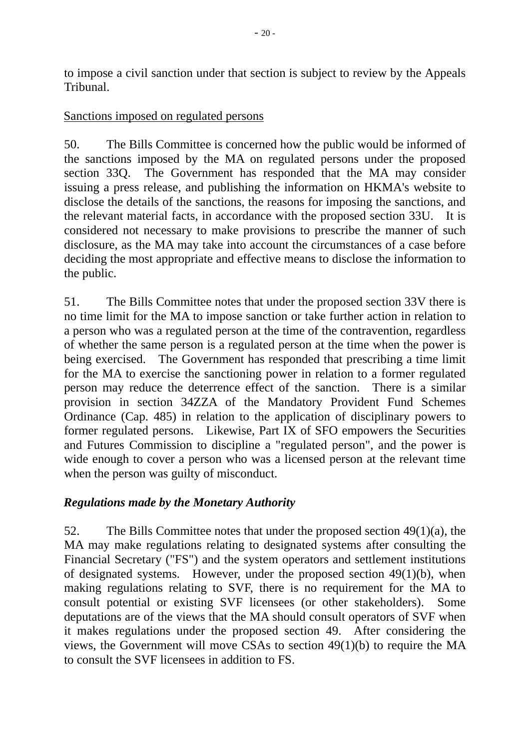to impose a civil sanction under that section is subject to review by the Appeals Tribunal.

#### Sanctions imposed on regulated persons

50. The Bills Committee is concerned how the public would be informed of the sanctions imposed by the MA on regulated persons under the proposed section 33Q. The Government has responded that the MA may consider issuing a press release, and publishing the information on HKMA's website to disclose the details of the sanctions, the reasons for imposing the sanctions, and the relevant material facts, in accordance with the proposed section 33U. It is considered not necessary to make provisions to prescribe the manner of such disclosure, as the MA may take into account the circumstances of a case before deciding the most appropriate and effective means to disclose the information to the public.

51. The Bills Committee notes that under the proposed section 33V there is no time limit for the MA to impose sanction or take further action in relation to a person who was a regulated person at the time of the contravention, regardless of whether the same person is a regulated person at the time when the power is being exercised. The Government has responded that prescribing a time limit for the MA to exercise the sanctioning power in relation to a former regulated person may reduce the deterrence effect of the sanction. There is a similar provision in section 34ZZA of the Mandatory Provident Fund Schemes Ordinance (Cap. 485) in relation to the application of disciplinary powers to former regulated persons. Likewise, Part IX of SFO empowers the Securities and Futures Commission to discipline a "regulated person", and the power is wide enough to cover a person who was a licensed person at the relevant time when the person was guilty of misconduct.

# *Regulations made by the Monetary Authority*

52. The Bills Committee notes that under the proposed section 49(1)(a), the MA may make regulations relating to designated systems after consulting the Financial Secretary ("FS") and the system operators and settlement institutions of designated systems. However, under the proposed section 49(1)(b), when making regulations relating to SVF, there is no requirement for the MA to consult potential or existing SVF licensees (or other stakeholders). Some deputations are of the views that the MA should consult operators of SVF when it makes regulations under the proposed section 49. After considering the views, the Government will move CSAs to section 49(1)(b) to require the MA to consult the SVF licensees in addition to FS.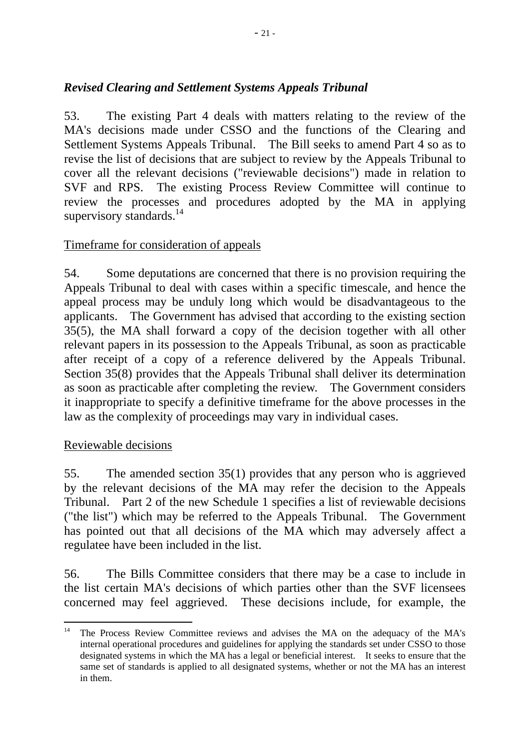# *Revised Clearing and Settlement Systems Appeals Tribunal*

53. The existing Part 4 deals with matters relating to the review of the MA's decisions made under CSSO and the functions of the Clearing and Settlement Systems Appeals Tribunal. The Bill seeks to amend Part 4 so as to revise the list of decisions that are subject to review by the Appeals Tribunal to cover all the relevant decisions ("reviewable decisions") made in relation to SVF and RPS. The existing Process Review Committee will continue to review the processes and procedures adopted by the MA in applying supervisory standards.<sup>14</sup>

# Timeframe for consideration of appeals

54. Some deputations are concerned that there is no provision requiring the Appeals Tribunal to deal with cases within a specific timescale, and hence the appeal process may be unduly long which would be disadvantageous to the applicants. The Government has advised that according to the existing section 35(5), the MA shall forward a copy of the decision together with all other relevant papers in its possession to the Appeals Tribunal, as soon as practicable after receipt of a copy of a reference delivered by the Appeals Tribunal. Section 35(8) provides that the Appeals Tribunal shall deliver its determination as soon as practicable after completing the review. The Government considers it inappropriate to specify a definitive timeframe for the above processes in the law as the complexity of proceedings may vary in individual cases.

#### Reviewable decisions

1

55. The amended section 35(1) provides that any person who is aggrieved by the relevant decisions of the MA may refer the decision to the Appeals Tribunal. Part 2 of the new Schedule 1 specifies a list of reviewable decisions ("the list") which may be referred to the Appeals Tribunal. The Government has pointed out that all decisions of the MA which may adversely affect a regulatee have been included in the list.

56. The Bills Committee considers that there may be a case to include in the list certain MA's decisions of which parties other than the SVF licensees concerned may feel aggrieved. These decisions include, for example, the

<sup>&</sup>lt;sup>14</sup> The Process Review Committee reviews and advises the MA on the adequacy of the MA's internal operational procedures and guidelines for applying the standards set under CSSO to those designated systems in which the MA has a legal or beneficial interest. It seeks to ensure that the same set of standards is applied to all designated systems, whether or not the MA has an interest in them.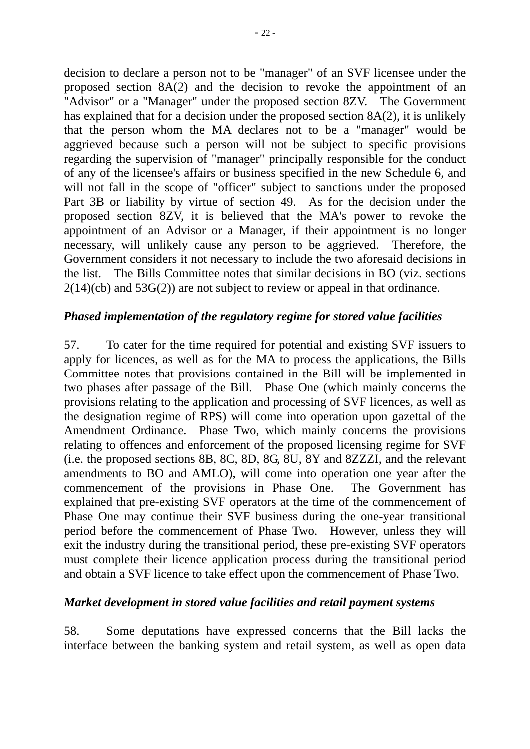decision to declare a person not to be "manager" of an SVF licensee under the proposed section 8A(2) and the decision to revoke the appointment of an "Advisor" or a "Manager" under the proposed section 8ZV. The Government has explained that for a decision under the proposed section 8A(2), it is unlikely that the person whom the MA declares not to be a "manager" would be aggrieved because such a person will not be subject to specific provisions regarding the supervision of "manager" principally responsible for the conduct of any of the licensee's affairs or business specified in the new Schedule 6, and will not fall in the scope of "officer" subject to sanctions under the proposed Part 3B or liability by virtue of section 49. As for the decision under the proposed section 8ZV, it is believed that the MA's power to revoke the appointment of an Advisor or a Manager, if their appointment is no longer necessary, will unlikely cause any person to be aggrieved. Therefore, the Government considers it not necessary to include the two aforesaid decisions in the list. The Bills Committee notes that similar decisions in BO (viz. sections  $2(14)(cb)$  and  $53G(2)$  are not subject to review or appeal in that ordinance.

## *Phased implementation of the regulatory regime for stored value facilities*

57. To cater for the time required for potential and existing SVF issuers to apply for licences, as well as for the MA to process the applications, the Bills Committee notes that provisions contained in the Bill will be implemented in two phases after passage of the Bill. Phase One (which mainly concerns the provisions relating to the application and processing of SVF licences, as well as the designation regime of RPS) will come into operation upon gazettal of the Amendment Ordinance. Phase Two, which mainly concerns the provisions relating to offences and enforcement of the proposed licensing regime for SVF (i.e. the proposed sections 8B, 8C, 8D, 8G, 8U, 8Y and 8ZZZI, and the relevant amendments to BO and AMLO), will come into operation one year after the commencement of the provisions in Phase One. The Government has explained that pre-existing SVF operators at the time of the commencement of Phase One may continue their SVF business during the one-year transitional period before the commencement of Phase Two. However, unless they will exit the industry during the transitional period, these pre-existing SVF operators must complete their licence application process during the transitional period and obtain a SVF licence to take effect upon the commencement of Phase Two.

#### *Market development in stored value facilities and retail payment systems*

58. Some deputations have expressed concerns that the Bill lacks the interface between the banking system and retail system, as well as open data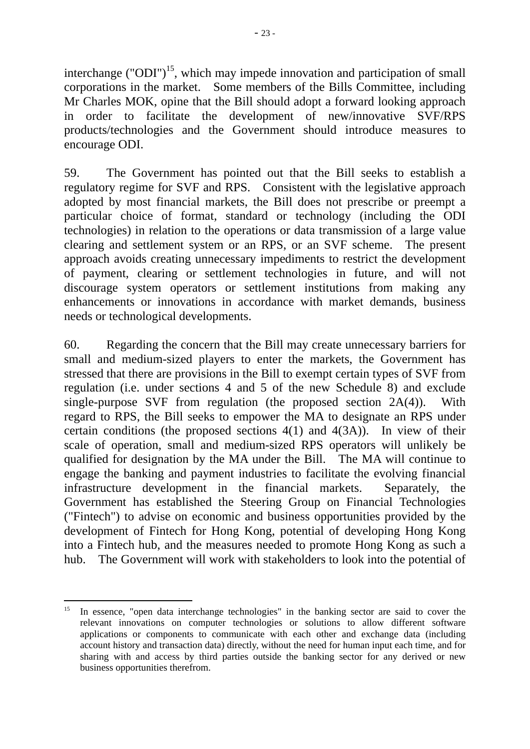interchange ("ODI")<sup>15</sup>, which may impede innovation and participation of small corporations in the market. Some members of the Bills Committee, including Mr Charles MOK, opine that the Bill should adopt a forward looking approach in order to facilitate the development of new/innovative SVF/RPS products/technologies and the Government should introduce measures to encourage ODI.

59. The Government has pointed out that the Bill seeks to establish a regulatory regime for SVF and RPS. Consistent with the legislative approach adopted by most financial markets, the Bill does not prescribe or preempt a particular choice of format, standard or technology (including the ODI technologies) in relation to the operations or data transmission of a large value clearing and settlement system or an RPS, or an SVF scheme. The present approach avoids creating unnecessary impediments to restrict the development of payment, clearing or settlement technologies in future, and will not discourage system operators or settlement institutions from making any enhancements or innovations in accordance with market demands, business needs or technological developments.

60. Regarding the concern that the Bill may create unnecessary barriers for small and medium-sized players to enter the markets, the Government has stressed that there are provisions in the Bill to exempt certain types of SVF from regulation (i.e. under sections 4 and 5 of the new Schedule 8) and exclude single-purpose SVF from regulation (the proposed section 2A(4)). With regard to RPS, the Bill seeks to empower the MA to designate an RPS under certain conditions (the proposed sections 4(1) and 4(3A)). In view of their scale of operation, small and medium-sized RPS operators will unlikely be qualified for designation by the MA under the Bill. The MA will continue to engage the banking and payment industries to facilitate the evolving financial infrastructure development in the financial markets. Separately, the Government has established the Steering Group on Financial Technologies ("Fintech") to advise on economic and business opportunities provided by the development of Fintech for Hong Kong, potential of developing Hong Kong into a Fintech hub, and the measures needed to promote Hong Kong as such a hub. The Government will work with stakeholders to look into the potential of

<sup>&</sup>lt;u>.</u> <sup>15</sup> In essence, "open data interchange technologies" in the banking sector are said to cover the relevant innovations on computer technologies or solutions to allow different software applications or components to communicate with each other and exchange data (including account history and transaction data) directly, without the need for human input each time, and for sharing with and access by third parties outside the banking sector for any derived or new business opportunities therefrom.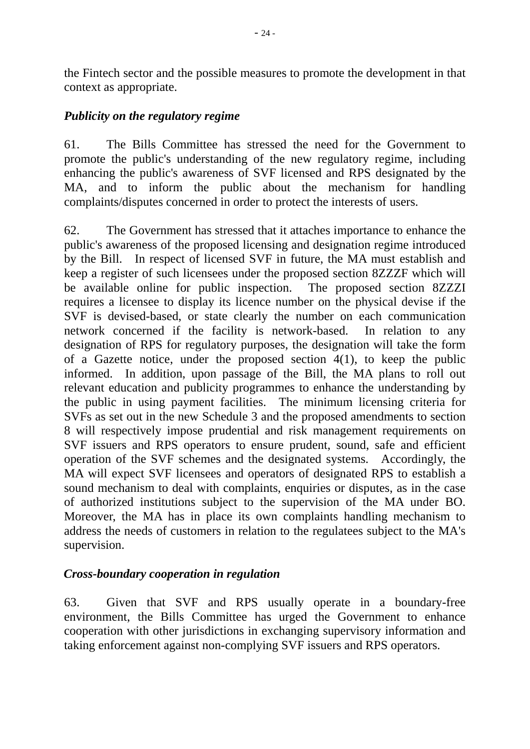the Fintech sector and the possible measures to promote the development in that context as appropriate.

#### *Publicity on the regulatory regime*

61. The Bills Committee has stressed the need for the Government to promote the public's understanding of the new regulatory regime, including enhancing the public's awareness of SVF licensed and RPS designated by the MA, and to inform the public about the mechanism for handling complaints/disputes concerned in order to protect the interests of users.

62. The Government has stressed that it attaches importance to enhance the public's awareness of the proposed licensing and designation regime introduced by the Bill. In respect of licensed SVF in future, the MA must establish and keep a register of such licensees under the proposed section 8ZZZF which will be available online for public inspection. The proposed section 8ZZZI requires a licensee to display its licence number on the physical devise if the SVF is devised-based, or state clearly the number on each communication network concerned if the facility is network-based. In relation to any designation of RPS for regulatory purposes, the designation will take the form of a Gazette notice, under the proposed section  $4(1)$ , to keep the public informed. In addition, upon passage of the Bill, the MA plans to roll out relevant education and publicity programmes to enhance the understanding by the public in using payment facilities. The minimum licensing criteria for SVFs as set out in the new Schedule 3 and the proposed amendments to section 8 will respectively impose prudential and risk management requirements on SVF issuers and RPS operators to ensure prudent, sound, safe and efficient operation of the SVF schemes and the designated systems. Accordingly, the MA will expect SVF licensees and operators of designated RPS to establish a sound mechanism to deal with complaints, enquiries or disputes, as in the case of authorized institutions subject to the supervision of the MA under BO. Moreover, the MA has in place its own complaints handling mechanism to address the needs of customers in relation to the regulatees subject to the MA's supervision.

# *Cross-boundary cooperation in regulation*

63. Given that SVF and RPS usually operate in a boundary-free environment, the Bills Committee has urged the Government to enhance cooperation with other jurisdictions in exchanging supervisory information and taking enforcement against non-complying SVF issuers and RPS operators.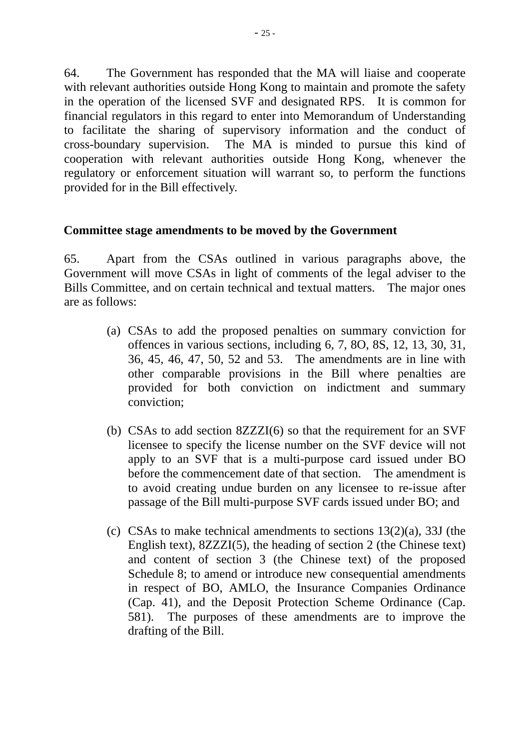64. The Government has responded that the MA will liaise and cooperate with relevant authorities outside Hong Kong to maintain and promote the safety in the operation of the licensed SVF and designated RPS. It is common for financial regulators in this regard to enter into Memorandum of Understanding to facilitate the sharing of supervisory information and the conduct of cross-boundary supervision. The MA is minded to pursue this kind of cooperation with relevant authorities outside Hong Kong, whenever the regulatory or enforcement situation will warrant so, to perform the functions provided for in the Bill effectively.

#### **Committee stage amendments to be moved by the Government**

65. Apart from the CSAs outlined in various paragraphs above, the Government will move CSAs in light of comments of the legal adviser to the Bills Committee, and on certain technical and textual matters. The major ones are as follows:

- (a) CSAs to add the proposed penalties on summary conviction for offences in various sections, including 6, 7, 8O, 8S, 12, 13, 30, 31, 36, 45, 46, 47, 50, 52 and 53. The amendments are in line with other comparable provisions in the Bill where penalties are provided for both conviction on indictment and summary conviction;
- (b) CSAs to add section 8ZZZI(6) so that the requirement for an SVF licensee to specify the license number on the SVF device will not apply to an SVF that is a multi-purpose card issued under BO before the commencement date of that section. The amendment is to avoid creating undue burden on any licensee to re-issue after passage of the Bill multi-purpose SVF cards issued under BO; and
- (c) CSAs to make technical amendments to sections 13(2)(a), 33J (the English text), 8ZZZI(5), the heading of section 2 (the Chinese text) and content of section 3 (the Chinese text) of the proposed Schedule 8; to amend or introduce new consequential amendments in respect of BO, AMLO, the Insurance Companies Ordinance (Cap. 41), and the Deposit Protection Scheme Ordinance (Cap. 581). The purposes of these amendments are to improve the drafting of the Bill.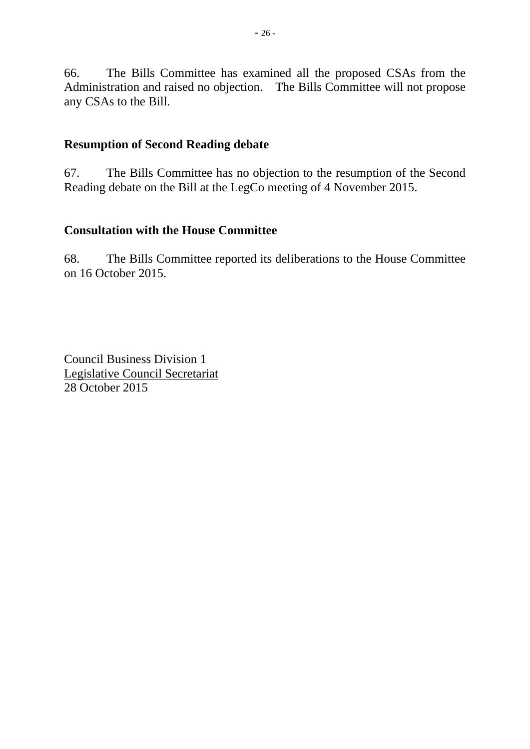66. The Bills Committee has examined all the proposed CSAs from the Administration and raised no objection. The Bills Committee will not propose any CSAs to the Bill.

#### **Resumption of Second Reading debate**

67. The Bills Committee has no objection to the resumption of the Second Reading debate on the Bill at the LegCo meeting of 4 November 2015.

## **Consultation with the House Committee**

68. The Bills Committee reported its deliberations to the House Committee on 16 October 2015.

Council Business Division 1 Legislative Council Secretariat 28 October 2015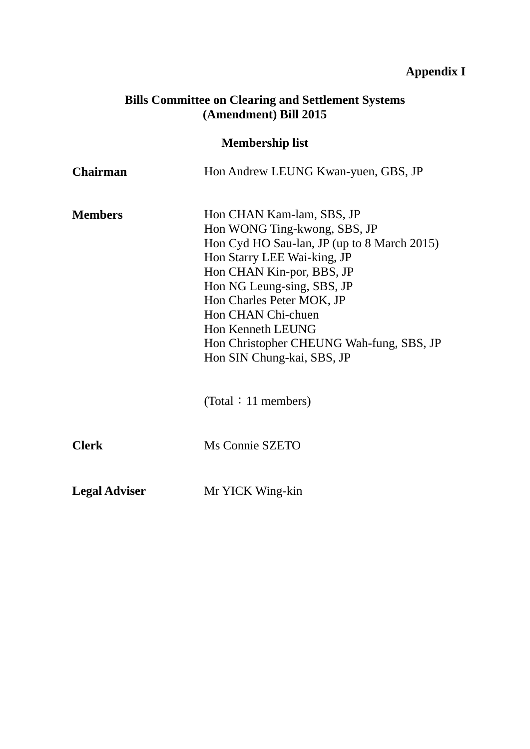# **Appendix I**

#### **Bills Committee on Clearing and Settlement Systems (Amendment) Bill 2015**

# **Membership list**

| <b>Chairman</b>      | Hon Andrew LEUNG Kwan-yuen, GBS, JP                                                                                                                                                                                                                                                                                                                  |
|----------------------|------------------------------------------------------------------------------------------------------------------------------------------------------------------------------------------------------------------------------------------------------------------------------------------------------------------------------------------------------|
| <b>Members</b>       | Hon CHAN Kam-lam, SBS, JP<br>Hon WONG Ting-kwong, SBS, JP<br>Hon Cyd HO Sau-lan, JP (up to 8 March 2015)<br>Hon Starry LEE Wai-king, JP<br>Hon CHAN Kin-por, BBS, JP<br>Hon NG Leung-sing, SBS, JP<br>Hon Charles Peter MOK, JP<br>Hon CHAN Chi-chuen<br>Hon Kenneth LEUNG<br>Hon Christopher CHEUNG Wah-fung, SBS, JP<br>Hon SIN Chung-kai, SBS, JP |
|                      | (Total: 11 members)                                                                                                                                                                                                                                                                                                                                  |
| <b>Clerk</b>         | Ms Connie SZETO                                                                                                                                                                                                                                                                                                                                      |
| <b>Legal Adviser</b> | Mr YICK Wing-kin                                                                                                                                                                                                                                                                                                                                     |